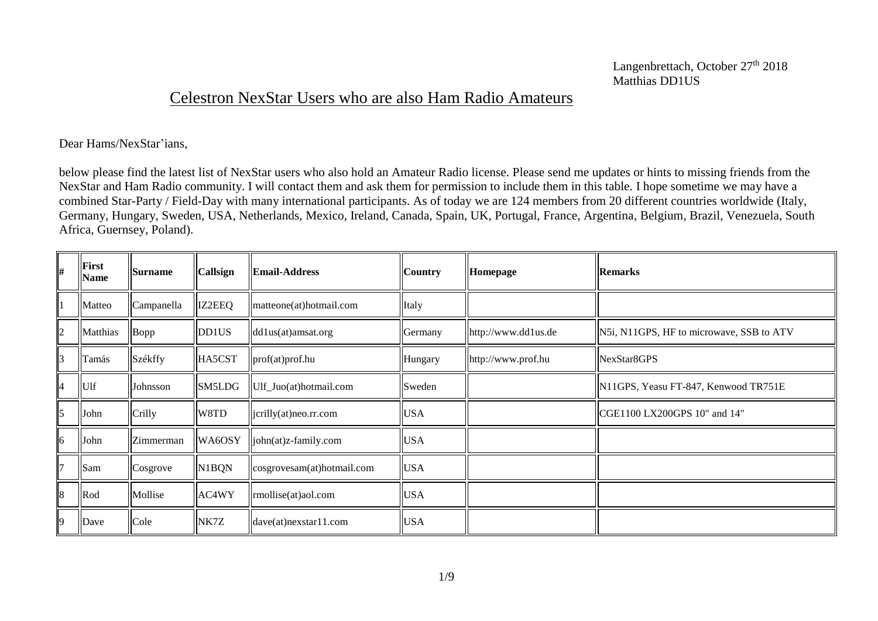## Celestron NexStar Users who are also Ham Radio Amateurs

Dear Hams/NexStar'ians,

below please find the latest list of NexStar users who also hold an Amateur Radio license. Please send me updates or hints to missing friends from the NexStar and Ham Radio community. I will contact them and ask them for permission to include them in this table. I hope sometime we may have a combined Star-Party / Field-Day with many international participants. As of today we are 124 members from 20 different countries worldwide (Italy, Germany, Hungary, Sweden, USA, Netherlands, Mexico, Ireland, Canada, Spain, UK, Portugal, France, Argentina, Belgium, Brazil, Venezuela, South Africa, Guernsey, Poland).

| #              | <b>First</b><br><b>Name</b> | <b>Surname</b> | Callsign      | <b>Email-Address</b>       | <b>Country</b> | Homepage            | <b>Remarks</b>                           |
|----------------|-----------------------------|----------------|---------------|----------------------------|----------------|---------------------|------------------------------------------|
|                | Matteo                      | Campanella     | <b>IZ2EEQ</b> | matteone(at)hotmail.com    | Italy          |                     |                                          |
| $\overline{2}$ | Matthias                    | $\vert$ Bopp   | DD1US         | dd1us(at)amsat.org         | Germany        | http://www.dd1us.de | N5i, N11GPS, HF to microwave, SSB to ATV |
| 3              | Tamás                       | Székffy        | HA5CST        | prof(at)prof.hu            | Hungary        | http://www.prof.hu  | NexStar8GPS                              |
| $\overline{4}$ | Ulf                         | Johnsson       | SM5LDG        | Ulf_Juo(at)hotmail.com     | Sweden         |                     | N11GPS, Yeasu FT-847, Kenwood TR751E     |
| 5              | John                        | Crilly         | W8TD          | jcrilly(at)neo.rr.com      | <b>USA</b>     |                     | CGE1100 LX200GPS 10" and 14"             |
| 6              | John                        | Zimmerman      | WA6OSY        | john(at)z-family.com       | <b>USA</b>     |                     |                                          |
| 7              | Sam                         | Cosgrove       | N1BQN         | cosgrovesam(at)hotmail.com | <b>USA</b>     |                     |                                          |
| 8              | Rod                         | Mollise        | AC4WY         | rmollise(at)aol.com        | <b>USA</b>     |                     |                                          |
| 9              | Dave                        | Cole           | NK7Z          | $dave(at)$ nexstar11.com   | <b>USA</b>     |                     |                                          |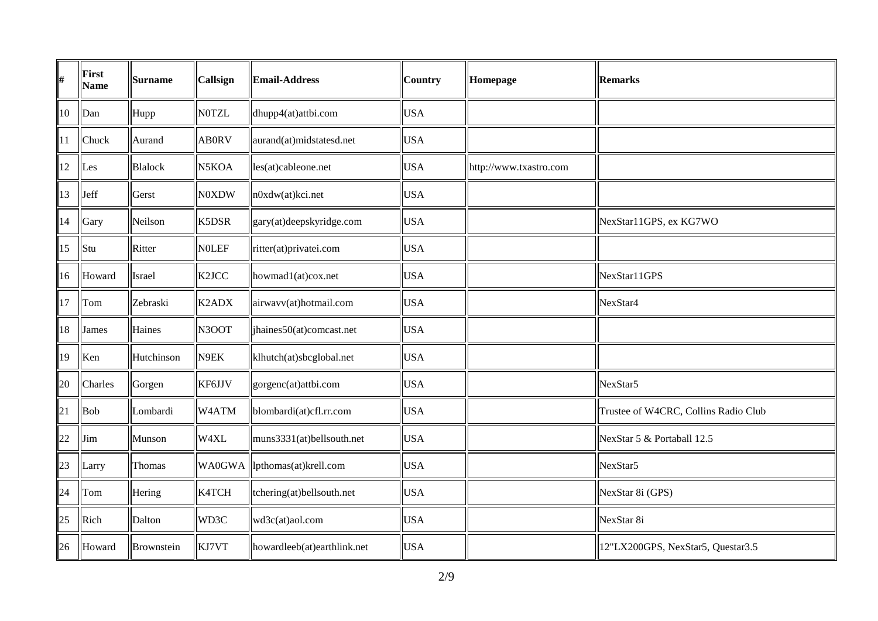| #      | First<br><b>Name</b> | <b>Surname</b> | Callsign           | <b>Email-Address</b>          | <b>Country</b> | Homepage               | <b>Remarks</b>                       |
|--------|----------------------|----------------|--------------------|-------------------------------|----------------|------------------------|--------------------------------------|
| $10\,$ | Dan                  | Hupp           | <b>NOTZL</b>       | dhupp4(at)attbi.com           | <b>USA</b>     |                        |                                      |
| 11     | Chuck                | Aurand         | <b>AB0RV</b>       | aurand(at)midstatesd.net      | <b>USA</b>     |                        |                                      |
| 12     | Les                  | <b>Blalock</b> | N5KOA              | les(at)cableone.net           | <b>USA</b>     | http://www.txastro.com |                                      |
| 13     | Jeff                 | Gerst          | <b>N0XDW</b>       | n0xdw(at)kci.net              | <b>USA</b>     |                        |                                      |
| 14     | Gary                 | Neilson        | K5DSR              | gary(at)deepskyridge.com      | <b>USA</b>     |                        | NexStar11GPS, ex KG7WO               |
| 15     | Stu                  | Ritter         | <b>NOLEF</b>       | ritter(at)privatei.com        | <b>USA</b>     |                        |                                      |
| 16     | Howard               | Israel         | K <sub>2</sub> JCC | howmad1(at)cox.net            | <b>USA</b>     |                        | NexStar11GPS                         |
| 17     | Tom                  | Zebraski       | K2ADX              | airwavv(at)hotmail.com        | <b>USA</b>     |                        | NexStar <sub>4</sub>                 |
| 18     | James                | Haines         | N3OOT              | jhaines50(at)comcast.net      | <b>USA</b>     |                        |                                      |
| 19     | Ken                  | Hutchinson     | N9EK               | klhutch(at)sbcglobal.net      | <b>USA</b>     |                        |                                      |
| 20     | Charles              | Gorgen         | KF6JJV             | gorgenc(at)attbi.com          | <b>USA</b>     |                        | NexStar5                             |
| 21     | Bob                  | Lombardi       | W4ATM              | blombardi(at)cfl.rr.com       | <b>USA</b>     |                        | Trustee of W4CRC, Collins Radio Club |
| 22     | Jim                  | Munson         | W4XL               | muns3331(at)bellsouth.net     | <b>USA</b>     |                        | NexStar 5 & Portaball 12.5           |
| 23     | Larry                | Thomas         |                    | WA0GWA  lpthomas(at)krell.com | <b>USA</b>     |                        | NexStar5                             |
| 24     | Tom                  | Hering         | K4TCH              | tchering(at)bellsouth.net     | <b>USA</b>     |                        | NexStar 8i (GPS)                     |
| 25     | Rich                 | Dalton         | WD3C               | wd3c(at)aol.com               | <b>USA</b>     |                        | NexStar 8i                           |
| 26     | Howard               | Brownstein     | KJ7VT              | howardleeb(at)earthlink.net   | <b>USA</b>     |                        | 12"LX200GPS, NexStar5, Questar3.5    |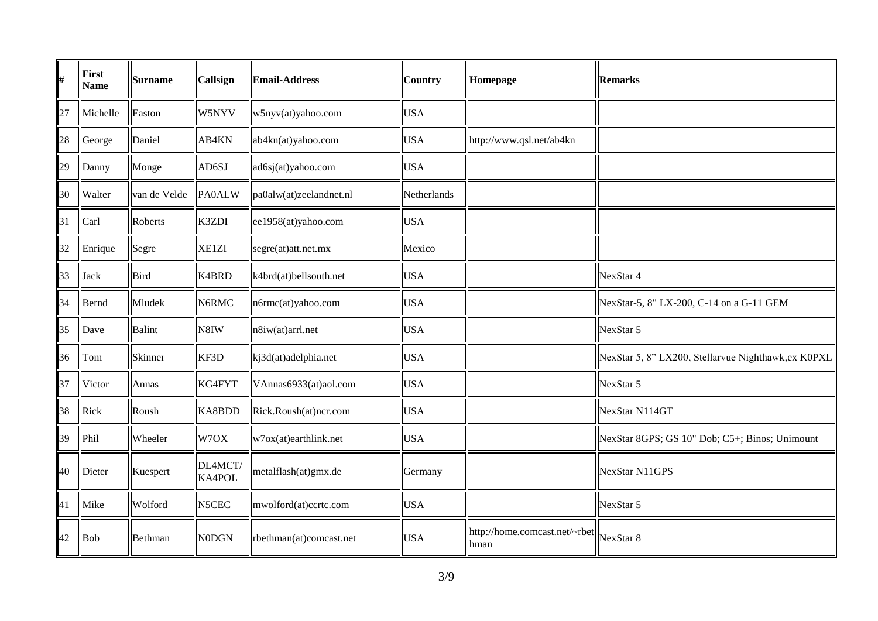| #  | First<br><b>Name</b> | <b>Surname</b> | Callsign          | <b>Email-Address</b>    | <b>Country</b> | Homepage                                         | <b>Remarks</b>                                      |
|----|----------------------|----------------|-------------------|-------------------------|----------------|--------------------------------------------------|-----------------------------------------------------|
| 27 | Michelle             | Easton         | W5NYV             | w5nyv(at)yahoo.com      | <b>USA</b>     |                                                  |                                                     |
| 28 | George               | Daniel         | AB4KN             | ab4kn(at)yahoo.com      | <b>USA</b>     | http://www.qsl.net/ab4kn                         |                                                     |
| 29 | Danny                | Monge          | AD6SJ             | ad6sj(at)yahoo.com      | <b>USA</b>     |                                                  |                                                     |
| 30 | Walter               | van de Velde   | <b>PA0ALW</b>     | pa0alw(at)zeelandnet.nl | Netherlands    |                                                  |                                                     |
| 31 | Carl                 | Roberts        | K3ZDI             | ee1958(at)yahoo.com     | <b>USA</b>     |                                                  |                                                     |
| 32 | Enrique              | <b>Segre</b>   | XE1ZI             | segre(at)att.net.mx     | Mexico         |                                                  |                                                     |
| 33 | Jack                 | Bird           | K4BRD             | k4brd(at)bellsouth.net  | <b>USA</b>     |                                                  | NexStar 4                                           |
| 34 | Bernd                | Mludek         | N6RMC             | n6rmc(at)yahoo.com      | <b>USA</b>     |                                                  | NexStar-5, 8" LX-200, C-14 on a G-11 GEM            |
| 35 | Dave                 | Balint         | N8IW              | n8iw(at)arrl.net        | <b>USA</b>     |                                                  | NexStar 5                                           |
| 36 | Tom                  | Skinner        | KF3D              | kj3d(at)adelphia.net    | <b>USA</b>     |                                                  | NexStar 5, 8" LX200, Stellarvue Nighthawk, ex K0PXL |
| 37 | Victor               | Annas          | KG4FYT            | VAnnas6933(at)aol.com   | <b>USA</b>     |                                                  | NexStar 5                                           |
| 38 | Rick                 | Roush          | KA8BDD            | Rick.Roush(at)ncr.com   | <b>USA</b>     |                                                  | NexStar N114GT                                      |
| 39 | Phil                 | Wheeler        | W7OX              | w7ox(at)earthlink.net   | <b>USA</b>     |                                                  | NexStar 8GPS; GS 10" Dob; C5+; Binos; Unimount      |
| 40 | Dieter               | Kuespert       | DL4MCT/<br>KA4POL | metalflash(at)gmx.de    | Germany        |                                                  | NexStar N11GPS                                      |
| 41 | Mike                 | Wolford        | N5CEC             | mwolford(at)ccrtc.com   | <b>USA</b>     |                                                  | NexStar 5                                           |
| 42 | Bob                  | Bethman        | N0DGN             | rbethman(at)comcast.net | <b>USA</b>     | http://home.comcast.net/~rbet  NexStar 8<br>hman |                                                     |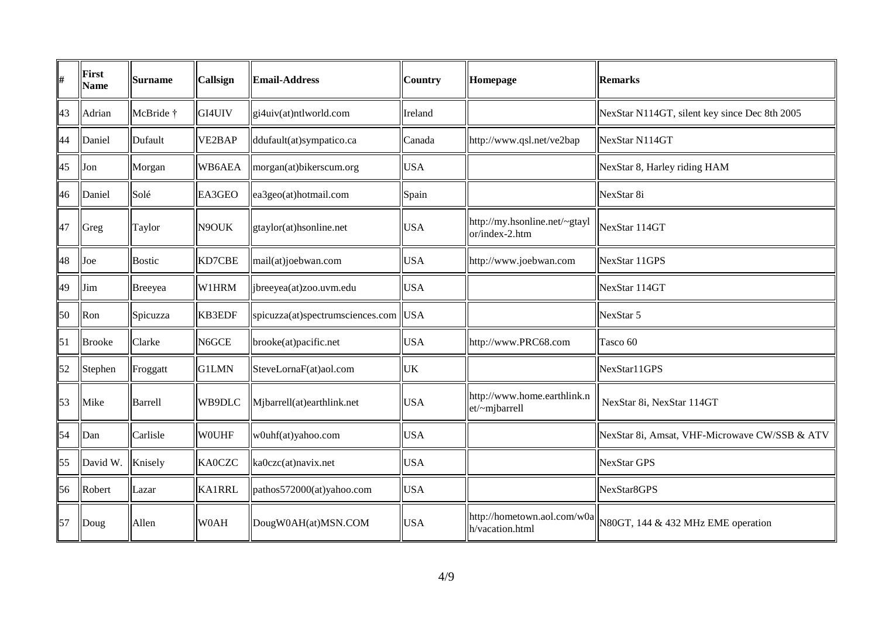| #  | <b>First</b><br><b>Name</b> | <b>Surname</b> | Callsign      | <b>Email-Address</b>             | <b>Country</b> | Homepage                                        | <b>Remarks</b>                                |
|----|-----------------------------|----------------|---------------|----------------------------------|----------------|-------------------------------------------------|-----------------------------------------------|
| 43 | Adrian                      | McBride †      | GI4UIV        | gi4uiv(at)ntlworld.com           | Ireland        |                                                 | NexStar N114GT, silent key since Dec 8th 2005 |
| 44 | Daniel                      | Dufault        | VE2BAP        | ddufault(at)sympatico.ca         | Canada         | http://www.qsl.net/ve2bap                       | NexStar N114GT                                |
| 45 | Jon                         | Morgan         | WB6AEA        | morgan(at)bikerscum.org          | <b>USA</b>     |                                                 | NexStar 8, Harley riding HAM                  |
| 46 | Daniel                      | Solé           | EA3GEO        | ea3geo(at)hotmail.com            | Spain          |                                                 | NexStar 8i                                    |
| 47 | Greg                        | Taylor         | N9OUK         | gtaylor(at)hsonline.net          | <b>USA</b>     | http://my.hsonline.net/~gtayl<br>or/index-2.htm | NexStar 114GT                                 |
| 48 | Joe                         | <b>Bostic</b>  | KD7CBE        | mail(at)joebwan.com              | <b>USA</b>     | http://www.joebwan.com                          | NexStar 11GPS                                 |
| 49 | Jim                         | Breeyea        | W1HRM         | ljbreeyea(at)zoo.uvm.edu         | <b>USA</b>     |                                                 | NexStar 114GT                                 |
| 50 | Ron                         | Spicuzza       | <b>KB3EDF</b> | spicuzza(at)spectrumsciences.com | <sub>USA</sub> |                                                 | NexStar 5                                     |
| 51 | <b>Brooke</b>               | Clarke         | N6GCE         | brooke(at)pacific.net            | <b>USA</b>     | http://www.PRC68.com                            | Tasco 60                                      |
| 52 | Stephen                     | Froggatt       | <b>G1LMN</b>  | SteveLornaF(at)aol.com           | <b>UK</b>      |                                                 | NexStar11GPS                                  |
| 53 | Mike                        | Barrell        | WB9DLC        | Mjbarrell(at)earthlink.net       | <b>USA</b>     | http://www.home.earthlink.n<br>et/~mjbarrell    | NexStar 8i, NexStar 114GT                     |
| 54 | Dan                         | Carlisle       | <b>WOUHF</b>  | w0uhf(at)yahoo.com               | <b>USA</b>     |                                                 | NexStar 8i, Amsat, VHF-Microwave CW/SSB & ATV |
| 55 | David W.                    | Knisely        | <b>KA0CZC</b> | ka0czc(at)navix.net              | <b>USA</b>     |                                                 | <b>NexStar GPS</b>                            |
| 56 | Robert                      | Lazar          | <b>KA1RRL</b> | pathos572000(at)yahoo.com        | <b>USA</b>     |                                                 | NexStar8GPS                                   |
| 57 | Doug                        | Allen          | W0AH          | DougW0AH(at)MSN.COM              | <b>USA</b>     | http://hometown.aol.com/w0a<br>h/vacation.html  | N80GT, 144 & 432 MHz EME operation            |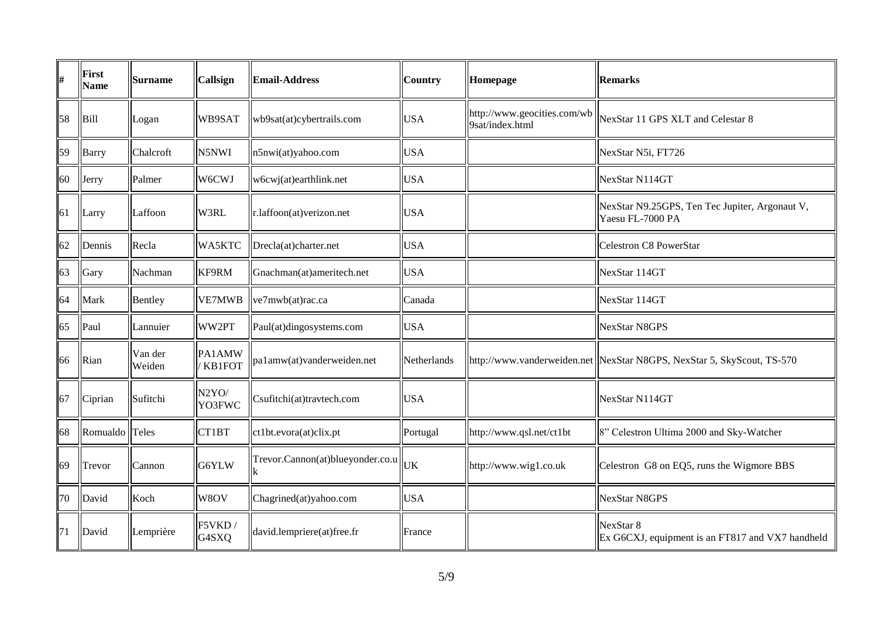| #  | First<br><b>Name</b> | <b>Surname</b>    | <b>Callsign</b>              | <b>Email-Address</b>                              | <b>Country</b> | Homepage                                       | <b>Remarks</b>                                                          |
|----|----------------------|-------------------|------------------------------|---------------------------------------------------|----------------|------------------------------------------------|-------------------------------------------------------------------------|
| 58 | Bill                 | Logan             | WB9SAT                       | wb9sat(at)cybertrails.com                         | <b>USA</b>     | http://www.geocities.com/wb<br>9sat/index.html | NexStar 11 GPS XLT and Celestar 8                                       |
| 59 | Barry                | Chalcroft         | N5NWI                        | n5nwi(at)yahoo.com                                | <b>USA</b>     |                                                | NexStar N5i, FT726                                                      |
| 60 | Jerry                | Palmer            | W6CWJ                        | w6cwj(at)earthlink.net                            | <b>USA</b>     |                                                | NexStar N114GT                                                          |
| 61 | Larry                | Laffoon           | W3RL                         | r.laffoon(at)verizon.net                          | <b>USA</b>     |                                                | NexStar N9.25GPS, Ten Tec Jupiter, Argonaut V,<br>Yaesu FL-7000 PA      |
| 62 | Dennis               | Recla             | WA5KTC                       | Drecla(at)charter.net                             | <b>USA</b>     |                                                | Celestron C8 PowerStar                                                  |
| 63 | Gary                 | Nachman           | KF9RM                        | Gnachman(at)ameritech.net                         | <b>USA</b>     |                                                | NexStar 114GT                                                           |
| 64 | Mark                 | Bentley           | <b>VE7MWB</b>                | ve7mwb(at)rac.ca                                  | Canada         |                                                | NexStar 114GT                                                           |
| 65 | Paul                 | Lannuier          | WW2PT                        | Paul(at)dingosystems.com                          | <b>USA</b>     |                                                | NexStar N8GPS                                                           |
| 66 | Rian                 | Van der<br>Weiden | PA1AMW<br><b>KB1FOT</b>      | pa1amw(at)vanderweiden.net                        | Netherlands    |                                                | http://www.vanderweiden.net  NexStar N8GPS, NexStar 5, SkyScout, TS-570 |
| 67 | Ciprian              | Sufitchi          | N <sub>2</sub> YO/<br>YO3FWC | Csufitchi(at)travtech.com                         | <b>USA</b>     |                                                | NexStar N114GT                                                          |
| 68 | Romualdo Teles       |                   | CT1BT                        | ct1bt.evora(at)clix.pt                            | Portugal       | http://www.qsl.net/ct1bt                       | 8" Celestron Ultima 2000 and Sky-Watcher                                |
| 69 | Trevor               | Cannon            | G6YLW                        | Trevor.Cannon(at)blueyonder.co.u $\parallel_{UK}$ |                | http://www.wig1.co.uk                          | Celestron G8 on EQ5, runs the Wigmore BBS                               |
| 70 | David                | Koch              | W8OV                         | Chagrined(at)yahoo.com                            | <b>USA</b>     |                                                | NexStar N8GPS                                                           |
| 71 | David                | Lemprière         | F5VKD/<br>G4SXQ              | david.lempriere(at)free.fr                        | France         |                                                | NexStar 8<br>Ex G6CXJ, equipment is an FT817 and VX7 handheld           |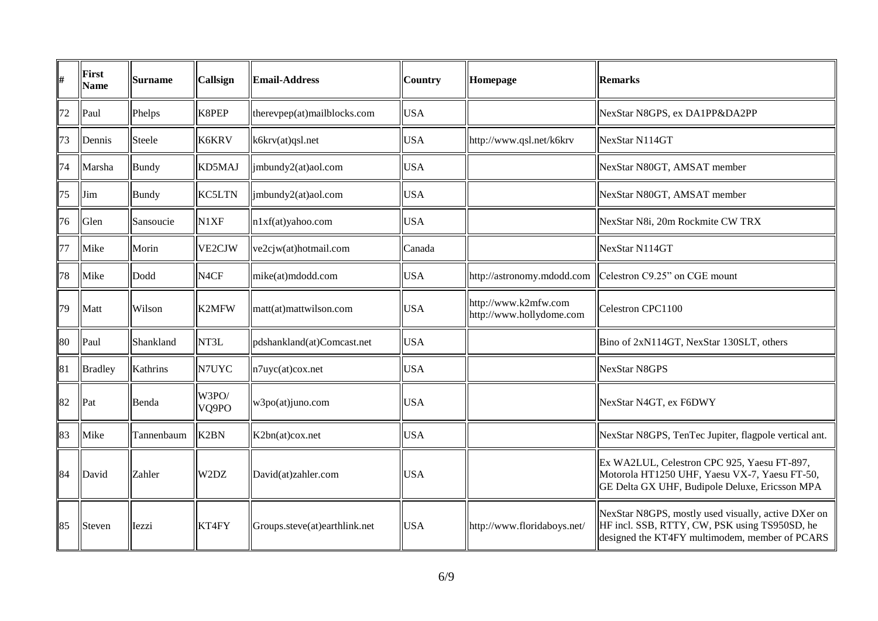| #  | First<br><b>Name</b> | <b>Surname</b> | <b>Callsign</b>   | <b>Email-Address</b>          | <b>Country</b> | Homepage                                         | <b>Remarks</b>                                                                                                                                         |
|----|----------------------|----------------|-------------------|-------------------------------|----------------|--------------------------------------------------|--------------------------------------------------------------------------------------------------------------------------------------------------------|
| 72 | Paul                 | Phelps         | K8PEP             | therevpep(at)mailblocks.com   | <b>USA</b>     |                                                  | NexStar N8GPS, ex DA1PP&DA2PP                                                                                                                          |
| 73 | Dennis               | Steele         | K6KRV             | k6krv(at)qsl.net              | <b>USA</b>     | http://www.qsl.net/k6krv                         | NexStar N114GT                                                                                                                                         |
| 74 | Marsha               | <b>Bundy</b>   | KD5MAJ            | jmbundy2(at)aol.com           | <b>USA</b>     |                                                  | NexStar N80GT, AMSAT member                                                                                                                            |
| 75 | Jim                  | <b>Bundy</b>   | <b>KC5LTN</b>     | imbundy2(at)aol.com           | <b>USA</b>     |                                                  | NexStar N80GT, AMSAT member                                                                                                                            |
| 76 | Glen                 | Sansoucie      | N1XF              | n1xf(at)yahoo.com             | <b>USA</b>     |                                                  | NexStar N8i, 20m Rockmite CW TRX                                                                                                                       |
| 77 | Mike                 | Morin          | VE2CJW            | ve2cjw(at)hotmail.com         | Canada         |                                                  | NexStar N114GT                                                                                                                                         |
| 78 | Mike                 | Dodd           | N <sub>4</sub> CF | mike(at)mdodd.com             | <b>USA</b>     |                                                  | http://astronomy.mdodd.com   Celestron C9.25" on CGE mount                                                                                             |
| 79 | Matt                 | Wilson         | <b>K2MFW</b>      | matt(at)mattwilson.com        | <b>USA</b>     | http://www.k2mfw.com<br>http://www.hollydome.com | Celestron CPC1100                                                                                                                                      |
| 80 | $\vert$ Paul         | Shankland      | NT3L              | pdshankland(at)Comcast.net    | <b>USA</b>     |                                                  | Bino of 2xN114GT, NexStar 130SLT, others                                                                                                               |
| 81 | <b>Bradley</b>       | Kathrins       | N7UYC             | n7uyc(at)cox.net              | <b>USA</b>     |                                                  | <b>NexStar N8GPS</b>                                                                                                                                   |
| 82 | Pat                  | Benda          | W3PO/<br>VQ9PO    | w3po(at)juno.com              | <b>USA</b>     |                                                  | NexStar N4GT, ex F6DWY                                                                                                                                 |
| 83 | Mike                 | Tannenbaum     | K <sub>2</sub> BN | K2bn(at)cox.net               | <b>USA</b>     |                                                  | NexStar N8GPS, TenTec Jupiter, flagpole vertical ant.                                                                                                  |
| 84 | David                | Zahler         | W2DZ              | David(at)zahler.com           | <b>USA</b>     |                                                  | Ex WA2LUL, Celestron CPC 925, Yaesu FT-897,<br>Motorola HT1250 UHF, Yaesu VX-7, Yaesu FT-50,<br>GE Delta GX UHF, Budipole Deluxe, Ericsson MPA         |
| 85 | Steven               | Iezzi          | KT4FY             | Groups.steve(at)earthlink.net | <b>USA</b>     | http://www.floridaboys.net/                      | NexStar N8GPS, mostly used visually, active DXer on<br>HF incl. SSB, RTTY, CW, PSK using TS950SD, he<br>designed the KT4FY multimodem, member of PCARS |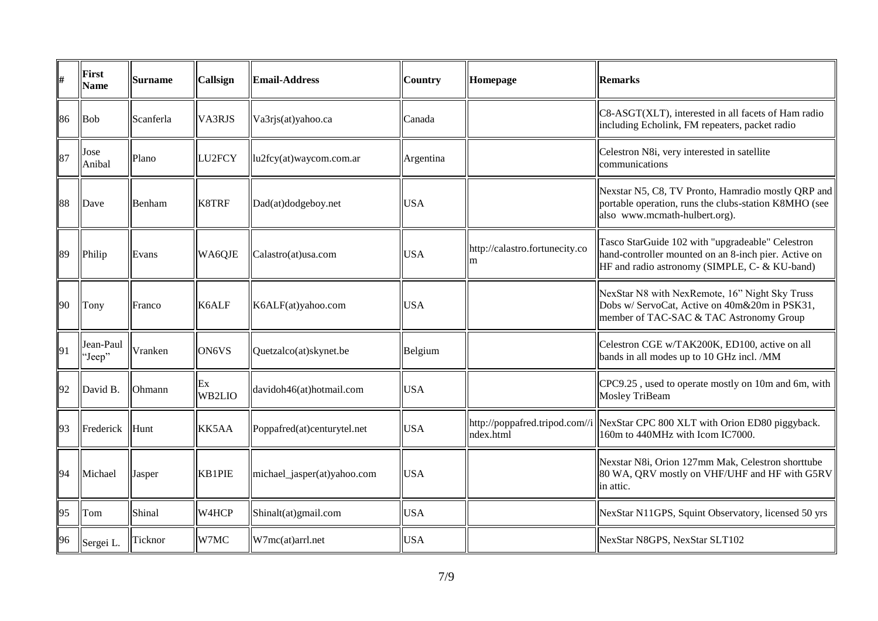| #  | First<br><b>Name</b> | <b>Surname</b> | <b>Callsign</b> | <b>Email-Address</b>        | <b>Country</b> | Homepage                            | <b>Remarks</b>                                                                                                                                            |
|----|----------------------|----------------|-----------------|-----------------------------|----------------|-------------------------------------|-----------------------------------------------------------------------------------------------------------------------------------------------------------|
| 86 | Bob                  | Scanferla      | VA3RJS          | Va3rjs(at)yahoo.ca          | Canada         |                                     | C8-ASGT(XLT), interested in all facets of Ham radio<br>including Echolink, FM repeaters, packet radio                                                     |
| 87 | Jose<br>Anibal       | Plano          | LU2FCY          | lu2fcy(at)waycom.com.ar     | Argentina      |                                     | Celestron N8i, very interested in satellite<br>communications                                                                                             |
| 88 | Dave                 | Benham         | K8TRF           | Dad(at)dodgeboy.net         | <b>USA</b>     |                                     | Nexstar N5, C8, TV Pronto, Hamradio mostly QRP and<br>portable operation, runs the clubs-station K8MHO (see<br>also www.mcmath-hulbert.org).              |
| 89 | Philip               | Evans          | WA6QJE          | Calastro(at)usa.com         | <b>USA</b>     | http://calastro.fortunecity.co<br>m | Tasco StarGuide 102 with "upgradeable" Celestron<br>hand-controller mounted on an 8-inch pier. Active on<br>HF and radio astronomy (SIMPLE, C- & KU-band) |
| 90 | Tony                 | Franco         | K6ALF           | K6ALF(at)yahoo.com          | <b>USA</b>     |                                     | NexStar N8 with NexRemote, 16" Night Sky Truss<br>Dobs w/ ServoCat, Active on 40m&20m in PSK31,<br>member of TAC-SAC & TAC Astronomy Group                |
| 91 | Jean-Paul<br>'Jeep"  | Vranken        | ON6VS           | Quetzalco(at)skynet.be      | Belgium        |                                     | Celestron CGE w/TAK200K, ED100, active on all<br>bands in all modes up to 10 GHz incl. /MM                                                                |
| 92 | David B.             | Ohmann         | Ex<br>WB2LIO    | davidoh46(at)hotmail.com    | <b>USA</b>     |                                     | CPC9.25, used to operate mostly on 10m and 6m, with<br>Mosley TriBeam                                                                                     |
| 93 | Frederick            | Hunt           | KK5AA           | Poppafred(at)centurytel.net | <b>USA</b>     | ndex.html                           | http://poppafred.tripod.com//i  NexStar CPC 800 XLT with Orion ED80 piggyback.<br>160m to 440MHz with Icom IC7000.                                        |
| 94 | Michael              | Jasper         | KB1PIE          | michael_jasper(at)yahoo.com | <b>USA</b>     |                                     | Nexstar N8i, Orion 127mm Mak, Celestron shorttube<br>80 WA, QRV mostly on VHF/UHF and HF with G5RV<br>in attic.                                           |
| 95 | Tom                  | Shinal         | W4HCP           | Shinalt(at)gmail.com        | <b>USA</b>     |                                     | NexStar N11GPS, Squint Observatory, licensed 50 yrs                                                                                                       |
| 96 | Sergei L.            | Ticknor        | W7MC            | W7mc(at)arrl.net            | <b>USA</b>     |                                     | NexStar N8GPS, NexStar SLT102                                                                                                                             |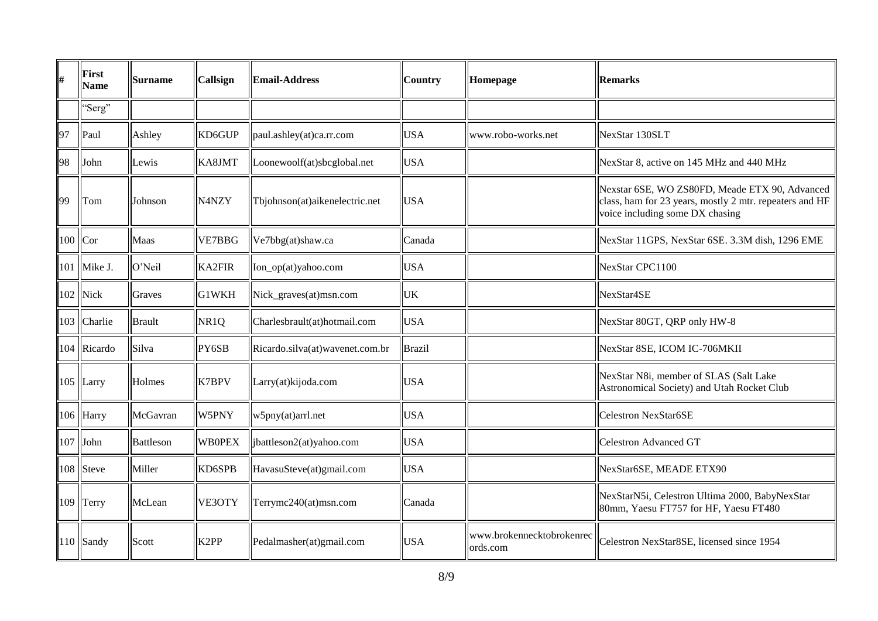| #         | First<br><b>Name</b> | <b>Surname</b> | Callsign          | <b>Email-Address</b>            | <b>Country</b> | Homepage                              | <b>Remarks</b>                                                                                                                               |
|-----------|----------------------|----------------|-------------------|---------------------------------|----------------|---------------------------------------|----------------------------------------------------------------------------------------------------------------------------------------------|
|           | "Serg"               |                |                   |                                 |                |                                       |                                                                                                                                              |
| 97        | Paul                 | Ashley         | KD6GUP            | paul.ashley(at)ca.rr.com        | <b>USA</b>     | www.robo-works.net                    | NexStar 130SLT                                                                                                                               |
| 98        | John                 | Lewis          | KA8JMT            | Loonewoolf(at)sbcglobal.net     | <b>USA</b>     |                                       | NexStar 8, active on 145 MHz and 440 MHz                                                                                                     |
| 99        | Tom                  | Johnson        | N4NZY             | Tbjohnson(at)aikenelectric.net  | <b>USA</b>     |                                       | Nexstar 6SE, WO ZS80FD, Meade ETX 90, Advanced<br>class, ham for 23 years, mostly 2 mtr. repeaters and HF<br>voice including some DX chasing |
| $100$ Cor |                      | Maas           | <b>VE7BBG</b>     | Ve7bbg(at)shaw.ca               | Canada         |                                       | NexStar 11GPS, NexStar 6SE. 3.3M dish, 1296 EME                                                                                              |
|           | 101   Mike J.        | O'Neil         | KA2FIR            | Ion_op(at)yahoo.com             | <b>USA</b>     |                                       | NexStar CPC1100                                                                                                                              |
|           | $102$ Nick           | Graves         | G1WKH             | Nick_graves(at)msn.com          | UK             |                                       | NexStar4SE                                                                                                                                   |
|           | 103 Charlie          | <b>Brault</b>  | NR <sub>1</sub> Q | Charlesbrault(at)hotmail.com    | <b>USA</b>     |                                       | NexStar 80GT, QRP only HW-8                                                                                                                  |
|           | 104 Ricardo          | Silva          | PY6SB             | Ricardo.silva(at)wavenet.com.br | Brazil         |                                       | NexStar 8SE, ICOM IC-706MKII                                                                                                                 |
|           | $105$ Larry          | Holmes         | <b>K7BPV</b>      | Larry(at)kijoda.com             | <b>USA</b>     |                                       | NexStar N8i, member of SLAS (Salt Lake<br>Astronomical Society) and Utah Rocket Club                                                         |
|           | 106 Harry            | McGavran       | W5PNY             | w5pny(at)arrl.net               | <b>USA</b>     |                                       | Celestron NexStar6SE                                                                                                                         |
|           | $107$ John           | Battleson      | <b>WB0PEX</b>     | ibattleson2(at)yahoo.com        | <b>USA</b>     |                                       | Celestron Advanced GT                                                                                                                        |
|           | 108 Steve            | Miller         | KD6SPB            | HavasuSteve(at)gmail.com        | <b>USA</b>     |                                       | NexStar6SE, MEADE ETX90                                                                                                                      |
|           | 109 Terry            | McLean         | VE3OTY            | Terrymc240(at)msn.com           | Canada         |                                       | NexStarN5i, Celestron Ultima 2000, BabyNexStar<br>80mm, Yaesu FT757 for HF, Yaesu FT480                                                      |
|           | $110$ Sandy          | Scott          | K <sub>2</sub> PP | Pedalmasher(at)gmail.com        | <b>USA</b>     | www.brokennecktobrokenrec<br>ords.com | Celestron NexStar8SE, licensed since 1954                                                                                                    |